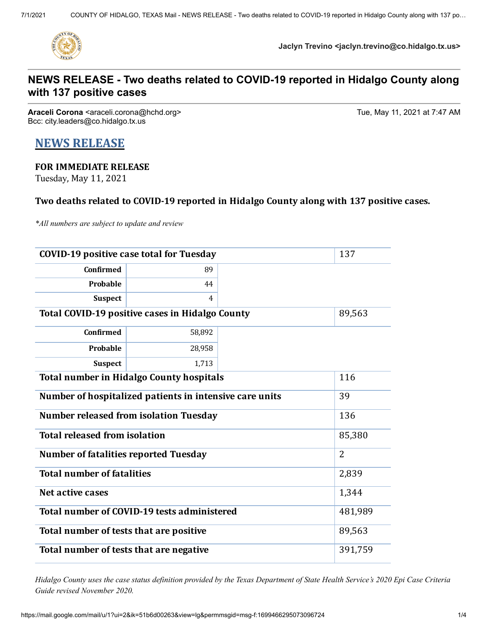

**Jaclyn Trevino <jaclyn.trevino@co.hidalgo.tx.us>**

# **NEWS RELEASE - Two deaths related to COVID-19 reported in Hidalgo County along with 137 positive cases**

**Araceli Corona** <araceli.corona@hchd.org> Tue, May 11, 2021 at 7:47 AM Bcc: city.leaders@co.hidalgo.tx.us

# **NEWS RELEASE**

## **FOR IMMEDIATE RELEASE**

Tuesday, May 11, 2021

### **Two deaths related to COVID-19 reported in Hidalgo County along with 137 positive cases.**

*\*All numbers are subject to update and review*

| <b>COVID-19 positive case total for Tuesday</b>         | 137     |  |       |
|---------------------------------------------------------|---------|--|-------|
| <b>Confirmed</b>                                        | 89      |  |       |
| Probable                                                | 44      |  |       |
| <b>Suspect</b>                                          | 4       |  |       |
| Total COVID-19 positive cases in Hidalgo County         | 89,563  |  |       |
| <b>Confirmed</b>                                        | 58,892  |  |       |
| Probable                                                | 28,958  |  |       |
| <b>Suspect</b>                                          | 1,713   |  |       |
| <b>Total number in Hidalgo County hospitals</b>         | 116     |  |       |
| Number of hospitalized patients in intensive care units | 39      |  |       |
| <b>Number released from isolation Tuesday</b>           | 136     |  |       |
| <b>Total released from isolation</b>                    | 85,380  |  |       |
| <b>Number of fatalities reported Tuesday</b>            | 2       |  |       |
| <b>Total number of fatalities</b>                       |         |  | 2,839 |
| Net active cases                                        | 1,344   |  |       |
| Total number of COVID-19 tests administered             | 481,989 |  |       |
| Total number of tests that are positive                 | 89,563  |  |       |
| Total number of tests that are negative                 | 391,759 |  |       |

Hidalgo County uses the case status definition provided by the Texas Department of State Health Service's 2020 Epi Case Criteria *Guide revised November 2020.*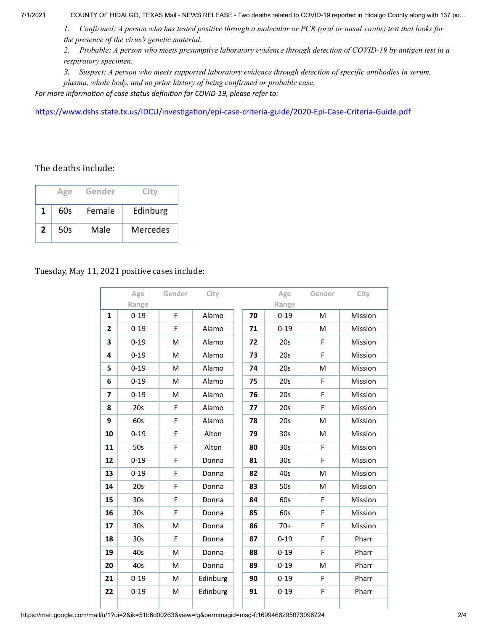7/1/2021 COUNTY OF HIDALGO, TEXAS Mail - NEWS RELEASE - Two deaths related to COVID-19 reported in Hidalgo County along with 137 po…

1. Confirmed: A person who has tested positive through a molecular or PCR (oral or nasal swabs) test that looks for *the presence of the virus's genetic material.*

2. Probable: A person who meets presumptive laboratory evidence through detection of COVID-19 by antigen test in a *respiratory specimen.*

*3. Suspect: A person who meets supported laboratory evidence through detection of specific antibodies in serum, plasma, whole body, and no prior history of being confirmed or probable case.*

*For more information of case status definition for COVID-19, please refer to:*

<https://www.dshs.state.tx.us/IDCU/investigation/epi-case-criteria-guide/2020-Epi-Case-Criteria-Guide.pdf>

#### The deaths include:

|   | Age | Gender | City     |
|---|-----|--------|----------|
| 1 | 60s | Female | Edinburg |
| 2 | 50s | Male   | Mercedes |

#### Tuesday, May 11, 2021 positive cases include:

|                         | Age             | Gender | City     |    | Age             | Gender | City    |
|-------------------------|-----------------|--------|----------|----|-----------------|--------|---------|
|                         | Range           |        |          |    | Range           |        |         |
| $\mathbf{1}$            | $0 - 19$        | F      | Alamo    | 70 | $0 - 19$        | M      | Mission |
| $\mathbf{2}$            | $0 - 19$        | F      | Alamo    | 71 | $0 - 19$        | M      | Mission |
| 3                       | $0 - 19$        | M      | Alamo    | 72 | 20s             | F      | Mission |
| 4                       | $0 - 19$        | M      | Alamo    | 73 | 20s             | F      | Mission |
| 5                       | $0 - 19$        | M      | Alamo    | 74 | 20s             | M      | Mission |
| 6                       | $0 - 19$        | M      | Alamo    | 75 | 20s             | F      | Mission |
| $\overline{\mathbf{z}}$ | $0 - 19$        | M      | Alamo    | 76 | 20s             | F      | Mission |
| 8                       | 20s             | F      | Alamo    | 77 | 20s             | F      | Mission |
| 9                       | 60s             | F      | Alamo    | 78 | 20s             | M      | Mission |
| 10                      | $0 - 19$        | F      | Alton    | 79 | 30s             | M      | Mission |
| 11                      | 50s             | F      | Alton    | 80 | 30 <sub>s</sub> | F      | Mission |
| 12                      | $0 - 19$        | F      | Donna    | 81 | 30s             | F      | Mission |
| 13                      | $0 - 19$        | F      | Donna    | 82 | 40s             | M      | Mission |
| 14                      | 20s             | F      | Donna    | 83 | 50s             | M      | Mission |
| 15                      | 30s             | F      | Donna    | 84 | 60s             | F      | Mission |
| 16                      | 30 <sub>s</sub> | F      | Donna    | 85 | 60s             | F      | Mission |
| 17                      | 30 <sub>s</sub> | M      | Donna    | 86 | $70+$           | F      | Mission |
| 18                      | 30 <sub>s</sub> | F      | Donna    | 87 | $0 - 19$        | F      | Pharr   |
| 19                      | 40s             | M      | Donna    | 88 | $0 - 19$        | F      | Pharr   |
| 20                      | 40s             | M      | Donna    | 89 | $0 - 19$        | M      | Pharr   |
| 21                      | $0 - 19$        | M      | Edinburg | 90 | $0 - 19$        | F      | Pharr   |
| 22                      | $0 - 19$        | M      | Edinburg | 91 | $0 - 19$        | F      | Pharr   |
|                         |                 |        |          |    |                 |        |         |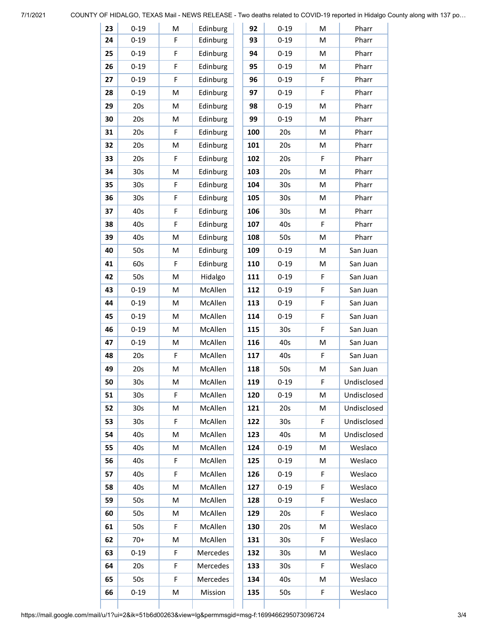7/1/2021 COUNTY OF HIDALGO, TEXAS Mail - NEWS RELEASE - Two deaths related to COVID-19 reported in Hidalgo County along with 137 po…

| 23 | $0 - 19$        | M | Edinburg | 92  | $0 - 19$        | M | Pharr       |
|----|-----------------|---|----------|-----|-----------------|---|-------------|
| 24 | $0 - 19$        | F | Edinburg | 93  | $0 - 19$        | M | Pharr       |
| 25 | $0 - 19$        | F | Edinburg | 94  | $0 - 19$        | M | Pharr       |
| 26 | $0 - 19$        | F | Edinburg | 95  | $0 - 19$        | M | Pharr       |
| 27 | $0 - 19$        | F | Edinburg | 96  | $0 - 19$        | F | Pharr       |
| 28 | $0 - 19$        | M | Edinburg | 97  | $0 - 19$        | F | Pharr       |
| 29 | 20s             | M | Edinburg | 98  | $0 - 19$        | M | Pharr       |
| 30 | 20s             | M | Edinburg | 99  | $0 - 19$        | M | Pharr       |
| 31 | 20s             | F | Edinburg | 100 | 20s             | M | Pharr       |
| 32 | 20s             | M | Edinburg | 101 | 20s             | M | Pharr       |
| 33 | 20s             | F | Edinburg | 102 | 20s             | F | Pharr       |
| 34 | 30 <sub>s</sub> | M | Edinburg | 103 | 20s             | M | Pharr       |
| 35 | 30s             | F | Edinburg | 104 | 30 <sub>s</sub> | M | Pharr       |
| 36 | 30s             | F | Edinburg | 105 | 30s             | M | Pharr       |
| 37 | 40s             | F | Edinburg | 106 | 30s             | M | Pharr       |
| 38 | 40s             | F | Edinburg | 107 | 40s             | F | Pharr       |
| 39 | 40s             | M | Edinburg | 108 | 50s             | M | Pharr       |
| 40 | 50s             | M | Edinburg | 109 | $0 - 19$        | M | San Juan    |
| 41 | 60s             | F | Edinburg | 110 | $0 - 19$        | M | San Juan    |
| 42 | 50s             | M | Hidalgo  | 111 | $0 - 19$        | F | San Juan    |
| 43 | $0 - 19$        | M | McAllen  | 112 | $0 - 19$        | F | San Juan    |
| 44 | $0 - 19$        | М | McAllen  | 113 | $0 - 19$        | F | San Juan    |
| 45 | $0 - 19$        | M | McAllen  | 114 | $0 - 19$        | F | San Juan    |
| 46 | $0 - 19$        | M | McAllen  | 115 | 30 <sub>s</sub> | F | San Juan    |
| 47 | $0 - 19$        | M | McAllen  | 116 | 40s             | M | San Juan    |
| 48 | 20s             | F | McAllen  | 117 | 40s             | F | San Juan    |
| 49 | 20s             | M | McAllen  | 118 | 50s             | M | San Juan    |
| 50 | 30 <sub>s</sub> | M | McAllen  | 119 | $0 - 19$        | F | Undisclosed |
| 51 | 30 <sub>s</sub> | F | McAllen  | 120 | $0 - 19$        | M | Undisclosed |
| 52 | 30 <sub>s</sub> | M | McAllen  | 121 | 20s             | M | Undisclosed |
| 53 | 30 <sub>s</sub> | F | McAllen  | 122 | 30 <sub>s</sub> | F | Undisclosed |
| 54 | 40s             | M | McAllen  | 123 | 40s             | M | Undisclosed |
| 55 | 40s             | M | McAllen  | 124 | $0 - 19$        | M | Weslaco     |
| 56 | 40s             | F | McAllen  | 125 | $0 - 19$        | M | Weslaco     |
| 57 | 40s             | F | McAllen  | 126 | $0 - 19$        | F | Weslaco     |
| 58 | 40s             | M | McAllen  | 127 | $0 - 19$        | F | Weslaco     |
| 59 | 50s             | M | McAllen  | 128 | $0 - 19$        | F | Weslaco     |
| 60 | 50s             | М | McAllen  | 129 | 20s             | F | Weslaco     |
| 61 | 50s             | F | McAllen  | 130 | 20s             | M | Weslaco     |
| 62 | $70+$           | M | McAllen  | 131 | 30s             | F | Weslaco     |
| 63 | $0 - 19$        | F | Mercedes | 132 | 30s             | Μ | Weslaco     |
| 64 | 20s             | F | Mercedes | 133 | 30s             | F | Weslaco     |
| 65 | 50s             | F | Mercedes | 134 | 40s             | M | Weslaco     |
| 66 | $0 - 19$        | M | Mission  | 135 | 50s             | F | Weslaco     |
|    |                 |   |          |     |                 |   |             |

https://mail.google.com/mail/u/1?ui=2&ik=51b6d00263&view=lg&permmsgid=msg-f:1699466295073096724 3/4